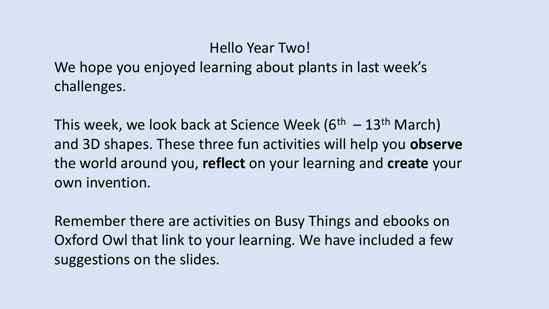# Hello Year Two!

We hope you enjoyed learning about plants in last week's challenges.

This week, we look back at Science Week  $(6<sup>th</sup> - 13<sup>th</sup> March)$ and 3D shapes. These three fun activities will help you **observe** the world around you, **reflect** on your learning and **create** your own invention.

Remember there are activities on Busy Things and ebooks on Oxford Owl that link to your learning. We have included a few suggestions on the slides.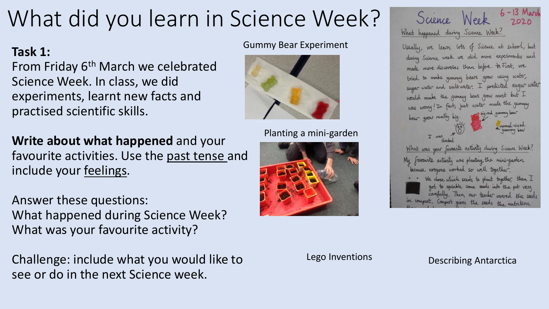# What did you learn in Science Week?

## **Task 1:**

From Friday 6<sup>th</sup> March we celebrated Science Week. In class, we did experiments, learnt new facts and practised scientific skills.

**Write about what happened** and your favourite activities. Use the past tense and include your feelings.

Answer these questions: What happened during Science Week? What was your favourite activity?

Challenge: include what you would like to see or do in the next Science week.

#### Gummy Bear Experiment



### Planting a mini-garden





Lego Inventions **Describing Antarctica**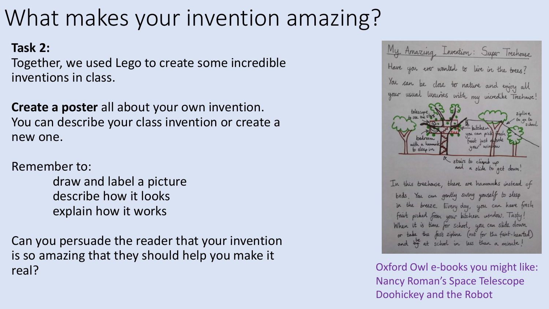# What makes your invention amazing?

# **Task 2:**

Together, we used Lego to create some incredible inventions in class.

**Create a poster** all about your own invention. You can describe your class invention or create a new one.

Remember to:

draw and label a picture describe how it looks explain how it works

Can you persuade the reader that your invention is so amazing that they should help you make it real?



Oxford Owl e-books you might like: Nancy Roman's Space Telescope Doohickey and the Robot